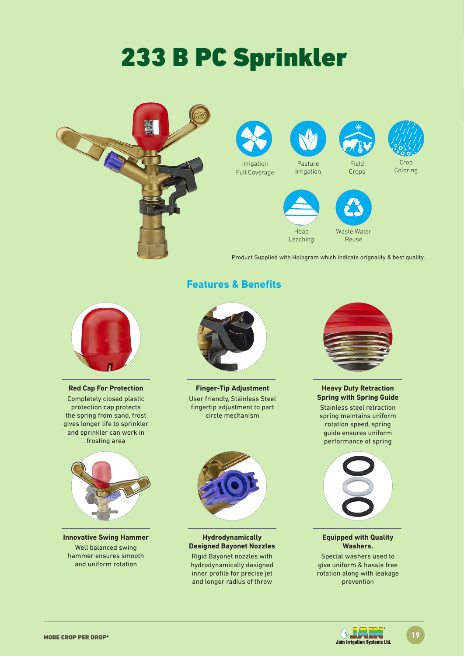# 233 B PC Sprinkler



**Red Cap For Protection** 

Completely closed plastic protection cap protects the spring from sand, frost gives longer life to sprinkler and sprinkler can work in frosting area



**Innovative Swing Hammer** Well balanced swing hammer ensures smooth and uniform rotation

### **Features & Benefits**



**Finger-Tip Adjustment** User friendly, Stainless Steel fingertip adjustment to part circle mechanism



#### **Hydrodynamically Designed Bayonet Nozzles**

Rigid Bayonet nozzles with hydrodynamically designed inner profile for precise jet and longer radius of throw



**Heavy Duty Retraction Spring with Spring Guide** 

Stainless steel retraction spring maintains uniform rotation speed, spring guide ensures uniform performance of spring



#### **Equipped with Quality Washers.**

Special washers used to give uniform & hassle free rotation along with leakage prevention